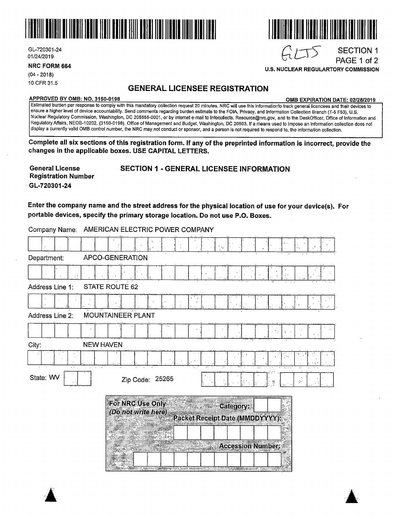

Company Name: AMERICAN ELECTRIC POWER COMPANY

GL-720301-24 01/24/2019

**NRC FORM 664** 

(04 - 2018) 10 CFR 31.5

## **GENERAL LICENSEE REGISTRATION**

#### **APPROVED BY 0MB: NO. 3150-0198 0MB EXPIRATION DATE: 02/28/2019**

Estimated burden per response to comply with this mandatory collection request 20 minutes. NRC will use this informationto track general licencees and their devices to ensure a higher level of device accountability. Send comments regarding burden estimate to the FOIA, Privacy, and Information Collection Branch (T-5 F53), U.S. Nuclear Regulatory Commission, Washington, DC 205555-0001, or by internet e-mail to lnfocollects. Resource@nrc.gov, and to the DeskOfficer, Office of Information and Regulatory Affairs, NEOB-10202, (3150-0198), Office of Management and Budget, Washington, DC 20503. If a means used to impose an information collection does not display a currently valid OMB control number, the NRC may not conduct or sponsor, and a person is not required to respond to, the information collection.

**Complete all six sections of this registration form. If any of the preprinted information is incorrect, provide the changes in the applicable boxes. USE CAPITAL LETTERS.** 

**General License Registration Number**  GL-720301-24

SECTION 1 - GENERAL LICENSEE INFORMATION

**Enter the company name and the street address for the physical location of use for your device(s). For portable devices, specify the primary storage location. Do not use P.O. Boxes.** 

|                                                                                                                                                                                                                                                                                                                                                                                                    | - • • • • •       |
|----------------------------------------------------------------------------------------------------------------------------------------------------------------------------------------------------------------------------------------------------------------------------------------------------------------------------------------------------------------------------------------------------|-------------------|
|                                                                                                                                                                                                                                                                                                                                                                                                    |                   |
| Department:                                                                                                                                                                                                                                                                                                                                                                                        | APCO-GENERATION   |
|                                                                                                                                                                                                                                                                                                                                                                                                    |                   |
| Address Line 1:                                                                                                                                                                                                                                                                                                                                                                                    | STATE ROUTE 62    |
|                                                                                                                                                                                                                                                                                                                                                                                                    |                   |
| Address Line 2:                                                                                                                                                                                                                                                                                                                                                                                    | MOUNTAINEER PLANT |
|                                                                                                                                                                                                                                                                                                                                                                                                    |                   |
| oompany namo.<br>City:<br><b>NEW HAVEN</b><br>State: WV<br>Zip Code: 25265<br>Ą.<br>For NRC Use Only<br><b>Category:</b><br>(Do not write here)<br>Packet Receipt Date (MMDDYYYY):<br><b>Accession Number:</b><br>Committee of the committee of the committee of the committee of the committee of the committee of the committee<br><b>WARNER</b><br>an the Windows American and Committee<br>- 5 |                   |
|                                                                                                                                                                                                                                                                                                                                                                                                    |                   |
|                                                                                                                                                                                                                                                                                                                                                                                                    |                   |
|                                                                                                                                                                                                                                                                                                                                                                                                    |                   |
|                                                                                                                                                                                                                                                                                                                                                                                                    |                   |
|                                                                                                                                                                                                                                                                                                                                                                                                    |                   |



# $GLTS$

**U.S. NUCLEAR REGULARTORY COMMISSION** 

SECTION 1 PAGE 1 of 2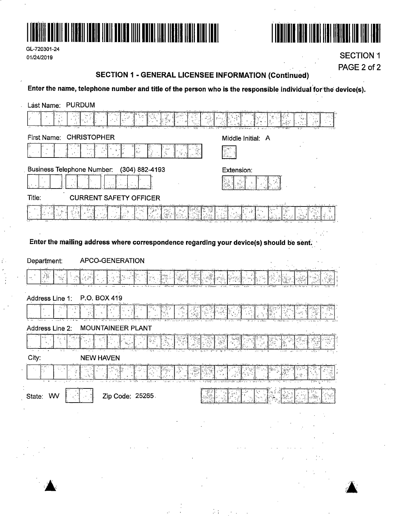

| GL-720301-24 |  |
|--------------|--|
| 01/24/2019   |  |

Ŷ.



**SECTION 1** PAGE 2 of 2

### **SECTION 1 - GENERAL LICENSEE INFORMATION (Continued)**

Enter the name, telephone number and title of the person who is the responsible individual for the device(s).

| Last Name: PURDUM                                                                       |                                |
|-----------------------------------------------------------------------------------------|--------------------------------|
|                                                                                         |                                |
| <b>CHRISTOPHER</b><br>First Name:                                                       | Middle Initial: A              |
|                                                                                         |                                |
| <b>Business Telephone Number:</b><br>(304) 882-4193                                     | Extension:                     |
|                                                                                         |                                |
| Title:<br><b>CURRENT SAFETY OFFICER</b>                                                 |                                |
|                                                                                         |                                |
|                                                                                         |                                |
| Enter the mailing address where correspondence regarding your device(s) should be sent. |                                |
| Department:<br><b>APCO-GENERATION</b>                                                   |                                |
| $\frac{\log_{10} \omega}{\log_{10} \omega}$                                             |                                |
| P.O. BOX 419<br>Address Line 1:                                                         |                                |
|                                                                                         |                                |
| Address Line 2:<br><b>MOUNTAINEER PLANT</b>                                             |                                |
|                                                                                         |                                |
| City:<br><b>NEW HAVEN</b>                                                               |                                |
|                                                                                         |                                |
| غظ<br>िलो पुरुष<br>Zip Code: 25265.<br>State: WV                                        | ਇਰਾਇਸ ਸਾਹਿਬ ਗੋ<br>िकास गाउँ वि |
| $\sim$                                                                                  |                                |
| $\mathcal{C}^{\mathcal{A}}$                                                             |                                |
|                                                                                         |                                |
|                                                                                         |                                |

÷т

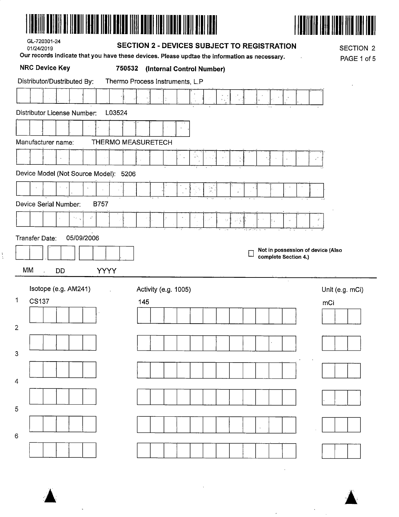|--|



| GL-720301-24 |  |
|--------------|--|
| 01/24/2019   |  |

 $\frac{1}{4}$ 

#### SECTION 2 - DEVICES SUBJECT TO REGISTRATION

Our records indicate that you have these devices. Please updtae the information as necessary

**SECTION 2**  $DAPAAB$ 

|                |    | <b>NRC Device Key</b> |    |                       |                             |             |        | 750532                                |     |  | (Internal Control Number) |              |             |                                     | $\sim$ , $\sim$ , $\sim$ , $\sim$ , $\sim$ , $\sim$ , $\sim$ , $\sim$ , $\sim$ , $\sim$ , $\sim$ , $\sim$ , $\sim$ , $\sim$ , $\sim$ |  |  |                      |                                   |     | PAGE 1 of 5     |  |
|----------------|----|-----------------------|----|-----------------------|-----------------------------|-------------|--------|---------------------------------------|-----|--|---------------------------|--------------|-------------|-------------------------------------|--------------------------------------------------------------------------------------------------------------------------------------|--|--|----------------------|-----------------------------------|-----|-----------------|--|
|                |    |                       |    |                       | Distributor/Dustributed By: |             |        | Thermo Process Instruments, L.P       |     |  |                           |              |             |                                     |                                                                                                                                      |  |  |                      |                                   |     |                 |  |
|                |    |                       |    |                       |                             |             |        |                                       |     |  |                           |              |             | $\frac{\pi}{4} \frac{1}{k_{\rm B}}$ |                                                                                                                                      |  |  |                      |                                   |     |                 |  |
|                |    |                       |    |                       | Distributor License Number: |             | L03524 |                                       |     |  |                           |              |             |                                     |                                                                                                                                      |  |  |                      |                                   |     |                 |  |
|                |    |                       |    |                       |                             |             |        |                                       |     |  |                           |              |             |                                     |                                                                                                                                      |  |  |                      |                                   |     |                 |  |
|                |    | Manufacturer name:    |    |                       |                             |             |        | THERMO MEASURETECH                    |     |  |                           |              |             |                                     |                                                                                                                                      |  |  |                      |                                   |     |                 |  |
|                |    |                       |    |                       |                             |             |        |                                       |     |  | $\hat{\phantom{a}}$       | $\epsilon$ ? |             |                                     |                                                                                                                                      |  |  |                      |                                   |     |                 |  |
|                |    |                       |    |                       |                             |             |        | Device Model (Not Source Model): 5206 |     |  |                           |              |             |                                     |                                                                                                                                      |  |  |                      |                                   |     |                 |  |
|                |    |                       |    |                       |                             |             |        |                                       |     |  |                           | q,           | Tei<br>Teir |                                     |                                                                                                                                      |  |  |                      |                                   |     |                 |  |
|                |    |                       |    | Device Serial Number: |                             | <b>B757</b> |        |                                       |     |  |                           |              |             |                                     |                                                                                                                                      |  |  |                      |                                   |     |                 |  |
|                |    |                       |    | $\sim 10^{-1}$        | č.                          |             |        |                                       |     |  |                           |              |             | $\stackrel{3}{\sim}$                |                                                                                                                                      |  |  |                      |                                   |     |                 |  |
|                |    |                       |    |                       |                             |             |        |                                       |     |  |                           |              |             |                                     |                                                                                                                                      |  |  |                      |                                   |     |                 |  |
|                |    | Transfer Date:        |    |                       | 05/09/2006                  |             |        |                                       |     |  |                           |              |             |                                     |                                                                                                                                      |  |  |                      | Not in possession of device (Also |     |                 |  |
|                |    |                       |    |                       |                             |             |        |                                       |     |  |                           |              |             |                                     |                                                                                                                                      |  |  | complete Section 4.) |                                   |     |                 |  |
|                | MM |                       | DD |                       |                             | <b>YYYY</b> |        |                                       |     |  |                           |              |             |                                     |                                                                                                                                      |  |  |                      |                                   |     |                 |  |
|                |    |                       |    | Isotope (e.g. AM241)  |                             |             |        |                                       |     |  | Activity (e.g. 1005)      |              |             |                                     |                                                                                                                                      |  |  |                      |                                   |     | Unit (e.g. mCi) |  |
| 1              |    | CS137                 |    |                       |                             |             |        |                                       | 145 |  |                           |              |             |                                     |                                                                                                                                      |  |  |                      |                                   | mCi |                 |  |
|                |    |                       |    |                       |                             |             |        |                                       |     |  |                           |              |             |                                     |                                                                                                                                      |  |  |                      |                                   |     |                 |  |
| $\overline{2}$ |    |                       |    |                       |                             |             |        |                                       |     |  |                           |              |             |                                     |                                                                                                                                      |  |  |                      |                                   |     |                 |  |
| 3              |    |                       |    |                       |                             |             |        |                                       |     |  |                           |              |             |                                     |                                                                                                                                      |  |  |                      |                                   |     |                 |  |
|                |    |                       |    |                       |                             |             |        |                                       |     |  |                           |              |             |                                     |                                                                                                                                      |  |  |                      |                                   |     |                 |  |
| 4              |    |                       |    |                       |                             |             |        |                                       |     |  |                           |              |             |                                     |                                                                                                                                      |  |  |                      |                                   |     |                 |  |
|                |    |                       |    |                       |                             |             |        |                                       |     |  |                           |              |             |                                     |                                                                                                                                      |  |  |                      |                                   |     |                 |  |
| 5              |    |                       |    |                       |                             |             |        |                                       |     |  |                           |              |             |                                     |                                                                                                                                      |  |  |                      |                                   |     |                 |  |
|                |    |                       |    |                       |                             |             |        |                                       |     |  |                           |              |             |                                     |                                                                                                                                      |  |  |                      |                                   |     |                 |  |
| 6              |    |                       |    |                       |                             |             |        |                                       |     |  |                           |              |             |                                     |                                                                                                                                      |  |  |                      |                                   |     |                 |  |
|                |    |                       |    |                       |                             |             |        |                                       |     |  |                           |              |             |                                     |                                                                                                                                      |  |  |                      |                                   |     |                 |  |

 $\bar{z}$ 

 $\ddot{\phantom{a}}$ 



 $\bar{\lambda}$ 

 $\mathcal{L}$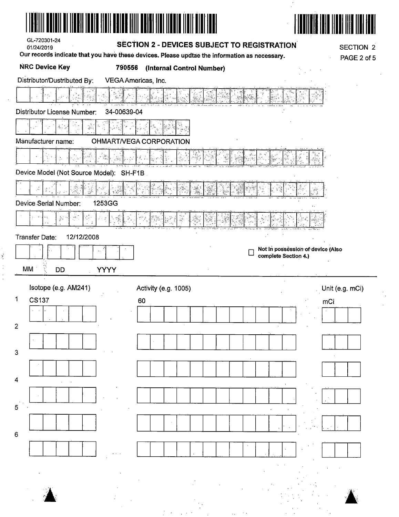| AIL DI III DAI TUDIR ITULI DULLE TIILI DULLEI TIUL TIONE TIULI D<br>GL-720301-24<br>01/24/2019 | SECTION 2 - DEVICES SUBJECT TO REGISTRATION<br>Our records indicate that you have these devices. Please updtae the information as necessary. | <b>SECTION 2</b><br>PAGE 2 of 5                           |
|------------------------------------------------------------------------------------------------|----------------------------------------------------------------------------------------------------------------------------------------------|-----------------------------------------------------------|
| <b>NRC Device Key</b><br>790556                                                                | (Internal Control Number)                                                                                                                    |                                                           |
| Distributor/Dustributed By:<br><b>Distributor License Number:</b><br>34-00639-04               | VEGA Americas, Inc.                                                                                                                          |                                                           |
|                                                                                                |                                                                                                                                              |                                                           |
| Manufacturer name:                                                                             |                                                                                                                                              |                                                           |
|                                                                                                | OHMART/VEGA CORPORATION                                                                                                                      |                                                           |
|                                                                                                |                                                                                                                                              |                                                           |
| Device Model (Not Source Model): SH-F1B.                                                       |                                                                                                                                              |                                                           |
|                                                                                                |                                                                                                                                              |                                                           |
| 1253GG<br>Device Serial Number:                                                                |                                                                                                                                              |                                                           |
| $\boldsymbol{\mathcal{C}}$ .<br>$\frac{3}{8} \frac{1}{8}$ .                                    | $\frac{1}{2}$                                                                                                                                |                                                           |
| 12/12/2008<br>Transfer Date:                                                                   |                                                                                                                                              |                                                           |
|                                                                                                |                                                                                                                                              | Not in possession of device (Also<br>complete Section 4.) |
| МM<br>YÝYY<br><b>DD</b>                                                                        |                                                                                                                                              |                                                           |
| Isotope (e.g. AM241)                                                                           |                                                                                                                                              |                                                           |
| 1<br><b>CS137</b>                                                                              | Activity (e.g. 1005)<br>60                                                                                                                   | Unit (e.g. mCi)<br>mCi                                    |
|                                                                                                |                                                                                                                                              |                                                           |
| $\overline{2}$                                                                                 |                                                                                                                                              |                                                           |
|                                                                                                |                                                                                                                                              |                                                           |
| $\overline{3}$                                                                                 |                                                                                                                                              |                                                           |
|                                                                                                |                                                                                                                                              |                                                           |
| 4                                                                                              |                                                                                                                                              |                                                           |
|                                                                                                |                                                                                                                                              |                                                           |
| 5                                                                                              |                                                                                                                                              |                                                           |
|                                                                                                | $\cdot$                                                                                                                                      |                                                           |
| 6                                                                                              |                                                                                                                                              |                                                           |
|                                                                                                |                                                                                                                                              |                                                           |
|                                                                                                |                                                                                                                                              |                                                           |
|                                                                                                |                                                                                                                                              |                                                           |
|                                                                                                |                                                                                                                                              |                                                           |
|                                                                                                |                                                                                                                                              |                                                           |

きょうしょ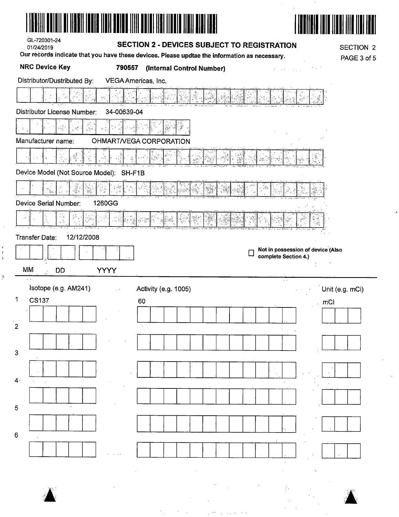| GL-720301-24<br><b>SECTION 2 - DEVICES SUBJECT TO REGISTRATION</b><br>01/24/2019<br>Our records indicate that you have these devices. Please updtae the information as necessary. | <b>SECTION 2</b><br>PAGE 3 of 5                           |
|-----------------------------------------------------------------------------------------------------------------------------------------------------------------------------------|-----------------------------------------------------------|
| <b>NRC Device Key</b><br>790557<br>(Internal Control Number)                                                                                                                      |                                                           |
| Distributor/Dustributed By:<br>VEGA Americas, Inc.<br>Distributor License Number:<br>34-00639-04                                                                                  |                                                           |
| $\mathbb{L}^{\frac{d}{2}}$ and                                                                                                                                                    |                                                           |
| Manufacturer name:<br>OHMART/VEGA CORPORATION                                                                                                                                     |                                                           |
|                                                                                                                                                                                   |                                                           |
| Device Model (Not Source Model): SH-F1B                                                                                                                                           |                                                           |
|                                                                                                                                                                                   |                                                           |
| 1260GG<br>Device Serial Number:                                                                                                                                                   |                                                           |
| $\epsilon$<br>. 刘                                                                                                                                                                 |                                                           |
| 12/12/2008<br>Transfer Date:                                                                                                                                                      |                                                           |
| MM<br><b>YYYY</b><br><b>DD</b>                                                                                                                                                    | Not in possession of device (Also<br>complete Section 4.) |
| Isotope (e.g. AM241)<br>Activity (e.g. 1005)<br>$\sim$                                                                                                                            | $\sim$<br>Unit (e.g. mCi)<br>$\epsilon = \infty$          |
| 1<br><b>CS137</b><br>60                                                                                                                                                           | mCi                                                       |
|                                                                                                                                                                                   |                                                           |
| $\overline{2}$                                                                                                                                                                    |                                                           |
|                                                                                                                                                                                   |                                                           |
| $\overline{3}$                                                                                                                                                                    |                                                           |
| 4 <sub>1</sub>                                                                                                                                                                    |                                                           |
|                                                                                                                                                                                   |                                                           |
| 5<br>$\epsilon$                                                                                                                                                                   |                                                           |
| $\,6\,$                                                                                                                                                                           |                                                           |
|                                                                                                                                                                                   |                                                           |
|                                                                                                                                                                                   |                                                           |

 $\frac{1}{\sqrt{2}}$ 

 $\begin{array}{c} \bullet \\ \bullet \\ \bullet \\ \bullet \end{array}$ 

 $\frac{d}{dt}$ 

 $\mathcal{L}_{\mathcal{A}}$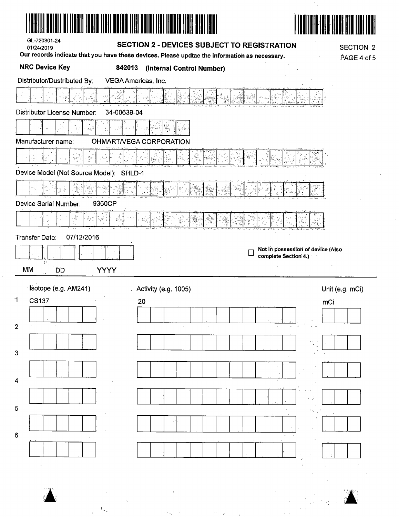| GL-720301-24<br>01/24/2019              | <b>SECTION 2 - DEVICES SUBJECT TO REGISTRATION</b>                                            | <b>SECTION 2</b>                                          |
|-----------------------------------------|-----------------------------------------------------------------------------------------------|-----------------------------------------------------------|
| <b>NRC Device Key</b>                   | Our records indicate that you have these devices. Please updtae the information as necessary. | PAGE 4 of 5                                               |
| Distributor/Dustributed By:             | 842013<br>(Internal Control Number)<br>VEGA Americas, Inc.                                    |                                                           |
|                                         |                                                                                               |                                                           |
|                                         |                                                                                               |                                                           |
| <b>Distributor License Number:</b>      | 34-00639-04                                                                                   |                                                           |
|                                         |                                                                                               |                                                           |
| Manufacturer name:                      | OHMART/VEGA CORPORATION                                                                       |                                                           |
| 동료                                      |                                                                                               |                                                           |
| Device Model (Not Source Model): SHLD-1 |                                                                                               |                                                           |
|                                         |                                                                                               |                                                           |
| Device Serial Number:                   | 9360CP                                                                                        |                                                           |
| t S                                     | W,                                                                                            |                                                           |
| 07/12/2016<br><b>Transfer Date:</b>     |                                                                                               |                                                           |
| 2014                                    |                                                                                               | Not in possession of device (Also<br>complete Section 4.) |
| MM<br><b>DD</b>                         | <b>YYYY</b>                                                                                   |                                                           |
| Isotope (e.g. AM241)                    | Activity (e.g. 1005)                                                                          | Unit (e.g. mCi)                                           |
| 1<br><b>CS137</b>                       | 20                                                                                            | mCi                                                       |
|                                         |                                                                                               |                                                           |
| 2                                       |                                                                                               |                                                           |
| 3                                       |                                                                                               |                                                           |
|                                         |                                                                                               |                                                           |
| 4                                       |                                                                                               |                                                           |
|                                         |                                                                                               |                                                           |
| 5                                       |                                                                                               |                                                           |
|                                         |                                                                                               |                                                           |
| 6                                       |                                                                                               |                                                           |
|                                         |                                                                                               |                                                           |
|                                         |                                                                                               |                                                           |
|                                         |                                                                                               |                                                           |
|                                         |                                                                                               |                                                           |

 $\frac{1}{2}$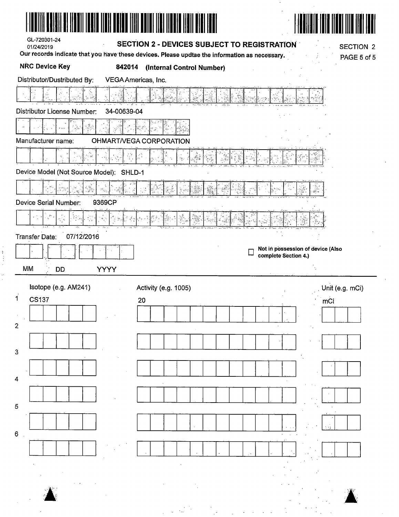| GL-720301-24<br>01/24/2019<br>Our records indicate that you have these devices. Please updtae the information as necessary.<br><b>NRC Device Key</b><br>842014 | <b>SECTION 2 - DEVICES SUBJECT TO REGISTRATION</b><br><b>SECTION 2</b><br>PAGE 5 of 5<br>(Internal Control Number) |  |
|----------------------------------------------------------------------------------------------------------------------------------------------------------------|--------------------------------------------------------------------------------------------------------------------|--|
| Distributor/Dustributed By:<br>VEGA Americas, Inc.                                                                                                             |                                                                                                                    |  |
|                                                                                                                                                                |                                                                                                                    |  |
| 34-00639-04<br>Distributor License Number:                                                                                                                     |                                                                                                                    |  |
|                                                                                                                                                                |                                                                                                                    |  |
| Manufacturer name:<br>OHMART/VEGA CORPORATION                                                                                                                  |                                                                                                                    |  |
|                                                                                                                                                                |                                                                                                                    |  |
| Device Model (Not Source Model): SHLD-1                                                                                                                        |                                                                                                                    |  |
| $\mathbb{S}^q_{\mathbf{a}_{\mathrm{ext}}}$                                                                                                                     | 385.                                                                                                               |  |
| <b>Device Serial Number:</b><br>9369CP                                                                                                                         |                                                                                                                    |  |
| ×)                                                                                                                                                             |                                                                                                                    |  |
| 07/12/2016<br>Transfer Date:                                                                                                                                   |                                                                                                                    |  |
|                                                                                                                                                                | Not in possession of device (Also                                                                                  |  |
| MM<br><b>YYYY</b><br><b>DD</b>                                                                                                                                 | complete Section 4.)                                                                                               |  |
|                                                                                                                                                                |                                                                                                                    |  |
|                                                                                                                                                                |                                                                                                                    |  |
| Isotope (e.g. AM241)                                                                                                                                           | Unit (e.g. mCi)<br>Activity (e.g. 1005)<br>$\mathcal{V}$                                                           |  |
| $\mathbf{1}$<br><b>CS137</b><br>20                                                                                                                             | mĊi                                                                                                                |  |
| $\overline{2}$                                                                                                                                                 |                                                                                                                    |  |
|                                                                                                                                                                |                                                                                                                    |  |
| $\mathbf{3}$                                                                                                                                                   |                                                                                                                    |  |
|                                                                                                                                                                |                                                                                                                    |  |
| 4                                                                                                                                                              |                                                                                                                    |  |
|                                                                                                                                                                |                                                                                                                    |  |
| 5                                                                                                                                                              |                                                                                                                    |  |
| $\mathbf 6$                                                                                                                                                    |                                                                                                                    |  |
|                                                                                                                                                                |                                                                                                                    |  |
|                                                                                                                                                                |                                                                                                                    |  |
|                                                                                                                                                                |                                                                                                                    |  |
|                                                                                                                                                                |                                                                                                                    |  |

医骨折 医神经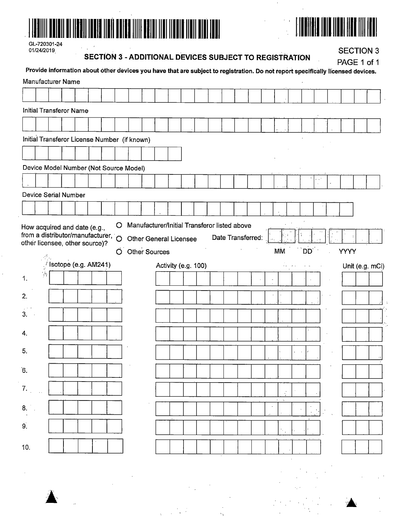

| GL-720301-24 |  |
|--------------|--|
| 01/24/2019   |  |

**SECTION 3 - ADDITIONAL DEVICES SUBJECT TO REGISTRATION** 

**SECTION 3** 

|              |                | <b>Manufacturer Name</b>                                                   |  |  | Provide information about other devices you have that are subject to registration. Do not report specifically licensed devices. |  |  |                     |  |                   |           |     |  | <b>PAGE TOTT</b> |                 |
|--------------|----------------|----------------------------------------------------------------------------|--|--|---------------------------------------------------------------------------------------------------------------------------------|--|--|---------------------|--|-------------------|-----------|-----|--|------------------|-----------------|
|              |                |                                                                            |  |  |                                                                                                                                 |  |  |                     |  |                   |           |     |  |                  |                 |
|              |                | <b>Initial Transferor Name</b>                                             |  |  |                                                                                                                                 |  |  |                     |  |                   |           |     |  |                  |                 |
|              |                |                                                                            |  |  |                                                                                                                                 |  |  |                     |  |                   |           |     |  |                  |                 |
|              |                |                                                                            |  |  | Initial Transferor License Number (if known)                                                                                    |  |  |                     |  |                   |           |     |  |                  |                 |
|              |                |                                                                            |  |  |                                                                                                                                 |  |  |                     |  |                   |           |     |  |                  |                 |
|              |                |                                                                            |  |  | Device Model Number (Not Source Model)                                                                                          |  |  |                     |  |                   |           |     |  |                  |                 |
|              |                |                                                                            |  |  |                                                                                                                                 |  |  |                     |  |                   |           |     |  |                  |                 |
|              |                | Device Serial Number                                                       |  |  |                                                                                                                                 |  |  |                     |  |                   |           |     |  |                  |                 |
|              |                |                                                                            |  |  |                                                                                                                                 |  |  |                     |  |                   |           |     |  |                  |                 |
|              |                | from a distributor/manufacturer, $\circ$<br>other licensee, other source)? |  |  | <b>Other General Licensee</b><br>O Other Sources                                                                                |  |  |                     |  | Date Transferred: | <b>MM</b> | DD' |  | <b>YYYY</b>      |                 |
|              |                | Isotope (e.g. AM241)                                                       |  |  |                                                                                                                                 |  |  | Activity (e.g. 100) |  |                   |           |     |  |                  | Unit (e.g. mCi) |
| 1.           | $\dot{\gamma}$ |                                                                            |  |  |                                                                                                                                 |  |  |                     |  |                   |           |     |  |                  |                 |
| 2.           |                |                                                                            |  |  |                                                                                                                                 |  |  |                     |  |                   |           |     |  |                  |                 |
| 3.<br>$\sim$ |                |                                                                            |  |  |                                                                                                                                 |  |  |                     |  |                   |           |     |  |                  |                 |
|              |                |                                                                            |  |  |                                                                                                                                 |  |  |                     |  |                   |           |     |  |                  |                 |
| 4.           |                |                                                                            |  |  |                                                                                                                                 |  |  |                     |  |                   |           |     |  |                  |                 |
| 5.           |                |                                                                            |  |  |                                                                                                                                 |  |  |                     |  |                   |           |     |  |                  | $\cdot\cdot$    |
| 6.           |                |                                                                            |  |  |                                                                                                                                 |  |  |                     |  |                   |           |     |  |                  |                 |
| 7.           |                |                                                                            |  |  |                                                                                                                                 |  |  |                     |  |                   |           |     |  |                  |                 |
| 8.           |                |                                                                            |  |  |                                                                                                                                 |  |  |                     |  |                   |           |     |  |                  |                 |
| 9.           |                |                                                                            |  |  |                                                                                                                                 |  |  |                     |  |                   |           |     |  |                  |                 |
| 10.          |                |                                                                            |  |  |                                                                                                                                 |  |  |                     |  |                   |           |     |  |                  |                 |
|              |                |                                                                            |  |  |                                                                                                                                 |  |  |                     |  |                   |           |     |  |                  |                 |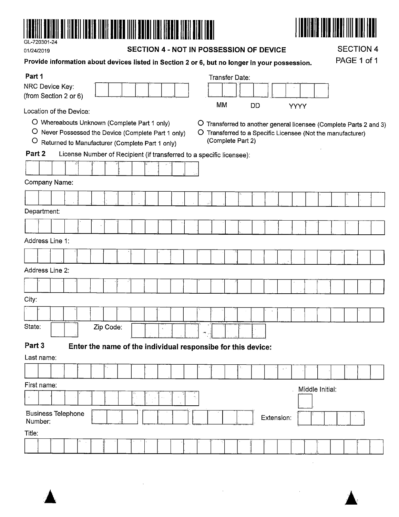

| --- <i>--</i> ---------<br>01/24/2019        |                                                                                                                                                        |  |  |  |  |                                                                                               | SECTION 4 - NOT IN POSSESSION OF DEVICE |  |  |  |  |                                                                      |     |                   |           |  |                |             | <b>SECTION 4</b> |             |  |                 |                                                             |  |  |                                                                    |
|----------------------------------------------|--------------------------------------------------------------------------------------------------------------------------------------------------------|--|--|--|--|-----------------------------------------------------------------------------------------------|-----------------------------------------|--|--|--|--|----------------------------------------------------------------------|-----|-------------------|-----------|--|----------------|-------------|------------------|-------------|--|-----------------|-------------------------------------------------------------|--|--|--------------------------------------------------------------------|
|                                              |                                                                                                                                                        |  |  |  |  | Provide information about devices listed in Section 2 or 6, but no longer in your possession. |                                         |  |  |  |  |                                                                      |     |                   |           |  |                | PAGE 1 of 1 |                  |             |  |                 |                                                             |  |  |                                                                    |
| Part 1<br>NRC Device Key:                    |                                                                                                                                                        |  |  |  |  |                                                                                               |                                         |  |  |  |  |                                                                      |     |                   |           |  | Transfer Date: |             |                  |             |  |                 |                                                             |  |  |                                                                    |
| (from Section 2 or 6)                        |                                                                                                                                                        |  |  |  |  |                                                                                               |                                         |  |  |  |  |                                                                      |     |                   | <b>MM</b> |  |                | DD          |                  | <b>YYYY</b> |  |                 |                                                             |  |  |                                                                    |
| Location of the Device:<br>$\circ$<br>Part 2 | O Whereabouts Unknown (Complete Part 1 only)<br>O Never Possessed the Device (Complete Part 1 only)<br>Returned to Manufacturer (Complete Part 1 only) |  |  |  |  |                                                                                               |                                         |  |  |  |  | License Number of Recipient (if transferred to a specific licensee): |     | (Complete Part 2) |           |  |                |             |                  |             |  |                 | O Transferred to a Specific Licensee (Not the manufacturer) |  |  | O Transferred to another general licensee (Complete Parts 2 and 3) |
|                                              |                                                                                                                                                        |  |  |  |  |                                                                                               |                                         |  |  |  |  |                                                                      |     |                   |           |  |                |             |                  |             |  |                 |                                                             |  |  |                                                                    |
| Company Name:                                |                                                                                                                                                        |  |  |  |  |                                                                                               |                                         |  |  |  |  |                                                                      |     |                   |           |  |                |             |                  |             |  |                 |                                                             |  |  |                                                                    |
|                                              |                                                                                                                                                        |  |  |  |  |                                                                                               |                                         |  |  |  |  |                                                                      |     |                   |           |  |                |             |                  |             |  |                 |                                                             |  |  |                                                                    |
| Department:                                  |                                                                                                                                                        |  |  |  |  |                                                                                               |                                         |  |  |  |  |                                                                      |     |                   |           |  |                |             |                  |             |  |                 |                                                             |  |  |                                                                    |
|                                              |                                                                                                                                                        |  |  |  |  |                                                                                               |                                         |  |  |  |  |                                                                      |     |                   |           |  |                |             |                  |             |  |                 |                                                             |  |  |                                                                    |
| Address Line 1:                              |                                                                                                                                                        |  |  |  |  |                                                                                               |                                         |  |  |  |  |                                                                      |     |                   |           |  |                |             |                  |             |  |                 |                                                             |  |  |                                                                    |
|                                              |                                                                                                                                                        |  |  |  |  |                                                                                               |                                         |  |  |  |  |                                                                      |     |                   |           |  |                |             |                  |             |  |                 |                                                             |  |  |                                                                    |
| Address Line 2:                              |                                                                                                                                                        |  |  |  |  |                                                                                               |                                         |  |  |  |  |                                                                      |     |                   |           |  |                |             |                  |             |  |                 |                                                             |  |  |                                                                    |
|                                              |                                                                                                                                                        |  |  |  |  |                                                                                               |                                         |  |  |  |  |                                                                      |     |                   |           |  |                |             |                  |             |  |                 |                                                             |  |  |                                                                    |
|                                              |                                                                                                                                                        |  |  |  |  |                                                                                               |                                         |  |  |  |  |                                                                      |     |                   |           |  |                |             |                  |             |  |                 |                                                             |  |  |                                                                    |
| City:                                        |                                                                                                                                                        |  |  |  |  |                                                                                               |                                         |  |  |  |  |                                                                      |     |                   |           |  |                |             |                  |             |  |                 |                                                             |  |  |                                                                    |
|                                              |                                                                                                                                                        |  |  |  |  |                                                                                               |                                         |  |  |  |  |                                                                      |     |                   |           |  |                |             |                  |             |  |                 |                                                             |  |  |                                                                    |
| State:                                       |                                                                                                                                                        |  |  |  |  | Zip Code:                                                                                     |                                         |  |  |  |  |                                                                      | н., |                   |           |  |                |             |                  |             |  |                 |                                                             |  |  |                                                                    |
| Part 3                                       |                                                                                                                                                        |  |  |  |  |                                                                                               |                                         |  |  |  |  | Enter the name of the individual responsibe for this device:         |     |                   |           |  |                |             |                  |             |  |                 |                                                             |  |  |                                                                    |
| Last name:                                   |                                                                                                                                                        |  |  |  |  |                                                                                               |                                         |  |  |  |  |                                                                      |     |                   |           |  |                |             |                  |             |  |                 |                                                             |  |  |                                                                    |
|                                              |                                                                                                                                                        |  |  |  |  |                                                                                               |                                         |  |  |  |  |                                                                      |     |                   |           |  |                |             |                  |             |  |                 |                                                             |  |  |                                                                    |
| First name:                                  |                                                                                                                                                        |  |  |  |  |                                                                                               |                                         |  |  |  |  |                                                                      |     |                   |           |  |                |             |                  |             |  | Middle Initial: |                                                             |  |  |                                                                    |
|                                              |                                                                                                                                                        |  |  |  |  |                                                                                               |                                         |  |  |  |  |                                                                      |     |                   |           |  |                |             |                  |             |  |                 |                                                             |  |  |                                                                    |
|                                              | <b>Business Telephone</b><br>Extension:<br>Number:                                                                                                     |  |  |  |  |                                                                                               |                                         |  |  |  |  |                                                                      |     |                   |           |  |                |             |                  |             |  |                 |                                                             |  |  |                                                                    |
| Title:                                       |                                                                                                                                                        |  |  |  |  |                                                                                               |                                         |  |  |  |  |                                                                      |     |                   |           |  |                |             |                  |             |  |                 |                                                             |  |  |                                                                    |
|                                              |                                                                                                                                                        |  |  |  |  |                                                                                               |                                         |  |  |  |  |                                                                      |     |                   |           |  |                |             |                  |             |  |                 |                                                             |  |  |                                                                    |
|                                              |                                                                                                                                                        |  |  |  |  |                                                                                               |                                         |  |  |  |  |                                                                      |     |                   |           |  |                |             |                  |             |  |                 |                                                             |  |  |                                                                    |
|                                              |                                                                                                                                                        |  |  |  |  |                                                                                               |                                         |  |  |  |  |                                                                      |     |                   |           |  |                |             |                  |             |  |                 |                                                             |  |  |                                                                    |

l.



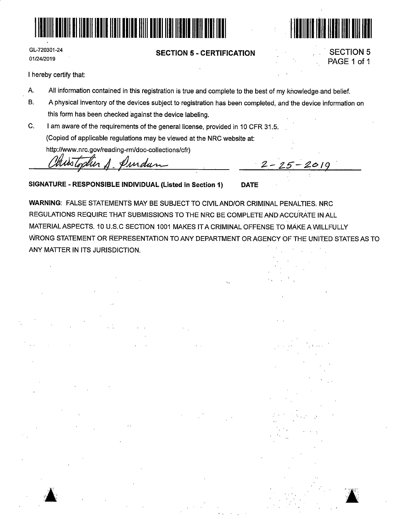



#### **SECTION 5** - **CERTIFICATION**



SECTION 5 PAGE 1 of 1

I hereby certify that:

- A. All information contained in this registration is true and complete to the best of my knowledge and belief.
- B. A physical inventory of the devices subject to registration has been completed, and the device information on this form has been checked against the device labeling.
- C. I am aware of the requirements of the general license, provided in 10 CFR 31.5. (Copied of applicable regulations may be viewed at the NRC website at:

http://www.nrc.gov/reading-rm/doc-collections/cfr)

Churstopher A. Pundun 2-25-2019

**SIGNATURE** - **RESPONSIBLE INDIVIDUAL (Listed in Section 1) DATE** 

**WARNING:** FALSE STATEMENTS MAY BE SUBJECT TO CIVILAND/OR CRIMINAL PENALTIES, NRC REGULATIONS REQUIRE THAT SUBMISSIONS TO THE NRC BE COMPLETE AND·AGCURAtE IN ALL MATERIAL ASPECTS. 10 U.S. C SECTION 1001 MAKES IT A CRIMINAL OFFENSE TO MAKE A WILLFULLY WRONG STATEMENT OR REPRESENTATION TO ANY DEPARTMENT OR AGENCY OF THE UNITED STATES AS TO ANY MATTER IN ITS JURISDICTION.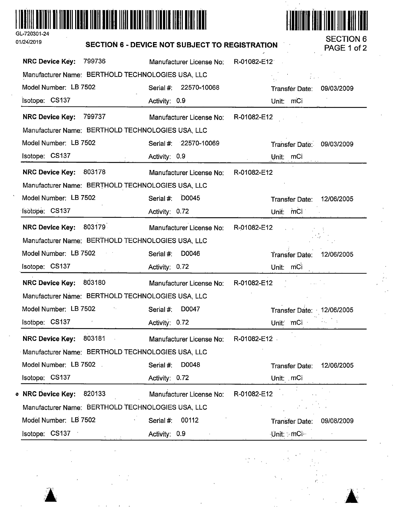

 $\hat{\textbf{A}}$ *:&* 



| 01/24/2019                                          | <b>SECTION 6 - DEVICE NOT SUBJECT TO REGISTRATION</b> |                                 |                         |  |  |  |  |  |  |
|-----------------------------------------------------|-------------------------------------------------------|---------------------------------|-------------------------|--|--|--|--|--|--|
| 799736<br><b>NRC Device Key:</b>                    | Manufacturer License No:                              | R-01082-E12                     |                         |  |  |  |  |  |  |
| Manufacturer Name: BERTHOLD TECHNOLOGIES USA, LLC   |                                                       | $\mathcal{L}$ and $\mathcal{L}$ |                         |  |  |  |  |  |  |
| Model Number: LB 7502                               | 22570-10068<br>Serial #:                              | Transfer Date:                  | 09/03/2009              |  |  |  |  |  |  |
| Isotope: CS137                                      | Activity: 0.9                                         | Unit: mCi                       |                         |  |  |  |  |  |  |
| NRC Device Key: 799737                              | Manufacturer License No:                              | R-01082-E12                     |                         |  |  |  |  |  |  |
| Manufacturer Name: BERTHOLD TECHNOLOGIES USA, LLC   |                                                       |                                 |                         |  |  |  |  |  |  |
| Model Number: LB 7502                               | Serial #: 22570-10069                                 | Transfer Date: 09/03/2009       |                         |  |  |  |  |  |  |
| Isotope: CS137<br>$\sim$                            | Activity: 0.9                                         | Unit: mCi                       |                         |  |  |  |  |  |  |
| NRC Device Key: 803178                              | Manufacturer License No:                              | R-01082-E12                     |                         |  |  |  |  |  |  |
| Manufacturer Name: BERTHOLD TECHNOLOGIES USA, LLC   |                                                       |                                 |                         |  |  |  |  |  |  |
| Model Number: LB 7502                               | <b>D0045</b><br>Serial #:                             | Transfer Date:                  | 12/06/2005              |  |  |  |  |  |  |
| Isotope: CS137                                      | Activity: 0.72                                        | Unit: mCi                       |                         |  |  |  |  |  |  |
| NRC Device Key: 803179                              | Manufacturer License No:                              | R-01082-E12                     |                         |  |  |  |  |  |  |
| Manufacturer Name: BERTHOLD TECHNOLOGIES USA, LLC   |                                                       |                                 |                         |  |  |  |  |  |  |
| Model Number: LB 7502<br>$\sim 10^{-10}$ M $_\odot$ | D0046<br>Serial #:                                    | <b>Transfer Date:</b>           | 12/06/2005              |  |  |  |  |  |  |
| Isotope: CS137                                      | Activity: 0.72                                        | Unit: mCi                       |                         |  |  |  |  |  |  |
| NRC Device Key: 803180                              | Manufacturer License No:                              | R-01082-E12                     |                         |  |  |  |  |  |  |
| Manufacturer Name: BERTHOLD TECHNOLOGIES USA, LLC   |                                                       |                                 |                         |  |  |  |  |  |  |
| Model Number: LB 7502                               | D0047<br>Serial #:                                    | Transfer Date: 12/06/2005       |                         |  |  |  |  |  |  |
| Isotope: CS137                                      | Activity: 0.72                                        | Unit: mCi                       | $\alpha\in\mathbb{Z}^n$ |  |  |  |  |  |  |
| 803181<br><b>NRC Device Key:</b>                    | Manufacturer License No:                              | R-01082-E12                     |                         |  |  |  |  |  |  |
| Manufacturer Name: BERTHOLD TECHNOLOGIES USA, LLC   |                                                       |                                 |                         |  |  |  |  |  |  |
| Model Number: LB 7502                               | D0048<br>Serial #:                                    | Transfer Date:                  | 12/06/2005              |  |  |  |  |  |  |
| Isotope: CS137                                      | Activity: 0.72                                        | Unit: mCi                       |                         |  |  |  |  |  |  |
| 820133<br><b>O</b> NRC Device Key:                  | Manufacturer License No:                              | R-01082-E12                     |                         |  |  |  |  |  |  |
| Manufacturer Name: BERTHOLD TECHNOLOGIES USA, LLC   |                                                       |                                 |                         |  |  |  |  |  |  |
| Model Number: LB 7502                               | 00112<br>Serial #:                                    | <b>Transfer Date:</b>           | 09/08/2009              |  |  |  |  |  |  |
| Isotope: CS137                                      | Activity: 0.9                                         | Unit: 5 mCi                     |                         |  |  |  |  |  |  |

 $r_{\scriptscriptstyle\perp}$